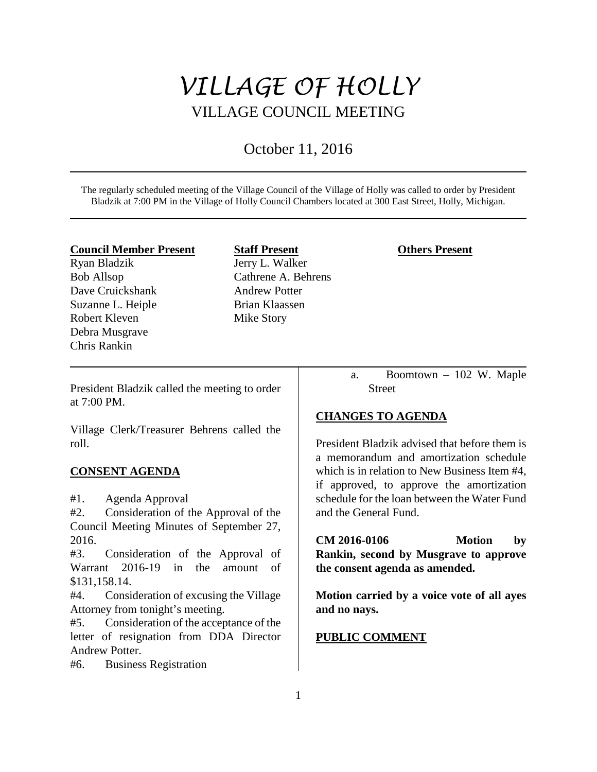# *VILLAGE OF HOLLY* VILLAGE COUNCIL MEETING

# October 11, 2016

The regularly scheduled meeting of the Village Council of the Village of Holly was called to order by President Bladzik at 7:00 PM in the Village of Holly Council Chambers located at 300 East Street, Holly, Michigan.

#### **Council Member Present**

Ryan Bladzik Bob Allsop Dave Cruickshank Suzanne L. Heiple Robert Kleven Debra Musgrave Chris Rankin

**Staff Present** Jerry L. Walker Cathrene A. Behrens Andrew Potter Brian Klaassen Mike Story

## **Others Present**

President Bladzik called the meeting to order at 7:00 PM.

Village Clerk/Treasurer Behrens called the roll.

# **CONSENT AGENDA**

#1. Agenda Approval

#2. Consideration of the Approval of the Council Meeting Minutes of September 27, 2016.

#3. Consideration of the Approval of Warrant 2016-19 in the amount of \$131,158.14.

#4. Consideration of excusing the Village Attorney from tonight's meeting.

#5. Consideration of the acceptance of the letter of resignation from DDA Director Andrew Potter.

#6. Business Registration

a. Boomtown – 102 W. Maple **Street** 

# **CHANGES TO AGENDA**

President Bladzik advised that before them is a memorandum and amortization schedule which is in relation to New Business Item #4, if approved, to approve the amortization schedule for the loan between the Water Fund and the General Fund.

**CM 2016-0106 Motion by Rankin, second by Musgrave to approve the consent agenda as amended.**

**Motion carried by a voice vote of all ayes and no nays.** 

# **PUBLIC COMMENT**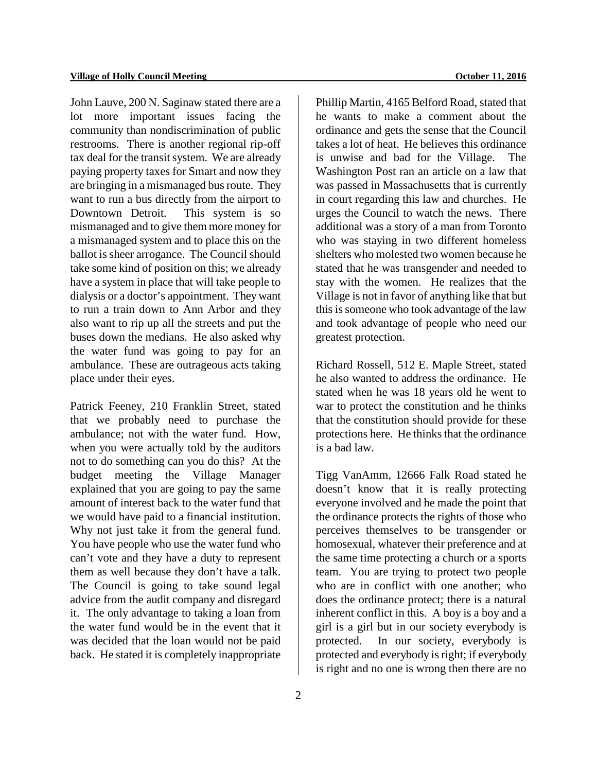John Lauve, 200 N. Saginaw stated there are a lot more important issues facing the community than nondiscrimination of public restrooms. There is another regional rip-off tax deal for the transit system. We are already paying property taxes for Smart and now they are bringing in a mismanaged bus route. They want to run a bus directly from the airport to Downtown Detroit. This system is so mismanaged and to give them more money for a mismanaged system and to place this on the ballot is sheer arrogance. The Council should take some kind of position on this; we already have a system in place that will take people to dialysis or a doctor's appointment. They want to run a train down to Ann Arbor and they also want to rip up all the streets and put the buses down the medians. He also asked why the water fund was going to pay for an ambulance. These are outrageous acts taking place under their eyes.

Patrick Feeney, 210 Franklin Street, stated that we probably need to purchase the ambulance; not with the water fund. How, when you were actually told by the auditors not to do something can you do this? At the budget meeting the Village Manager explained that you are going to pay the same amount of interest back to the water fund that we would have paid to a financial institution. Why not just take it from the general fund. You have people who use the water fund who can't vote and they have a duty to represent them as well because they don't have a talk. The Council is going to take sound legal advice from the audit company and disregard it. The only advantage to taking a loan from the water fund would be in the event that it was decided that the loan would not be paid back. He stated it is completely inappropriate

Phillip Martin, 4165 Belford Road, stated that he wants to make a comment about the ordinance and gets the sense that the Council takes a lot of heat. He believes this ordinance is unwise and bad for the Village. The Washington Post ran an article on a law that was passed in Massachusetts that is currently in court regarding this law and churches. He urges the Council to watch the news. There additional was a story of a man from Toronto who was staying in two different homeless shelters who molested two women because he stated that he was transgender and needed to stay with the women. He realizes that the Village is not in favor of anything like that but this is someone who took advantage of the law and took advantage of people who need our greatest protection.

Richard Rossell, 512 E. Maple Street, stated he also wanted to address the ordinance. He stated when he was 18 years old he went to war to protect the constitution and he thinks that the constitution should provide for these protections here. He thinks that the ordinance is a bad law.

Tigg VanAmm, 12666 Falk Road stated he doesn't know that it is really protecting everyone involved and he made the point that the ordinance protects the rights of those who perceives themselves to be transgender or homosexual, whatever their preference and at the same time protecting a church or a sports team. You are trying to protect two people who are in conflict with one another; who does the ordinance protect; there is a natural inherent conflict in this. A boy is a boy and a girl is a girl but in our society everybody is protected. In our society, everybody is protected and everybody is right; if everybody is right and no one is wrong then there are no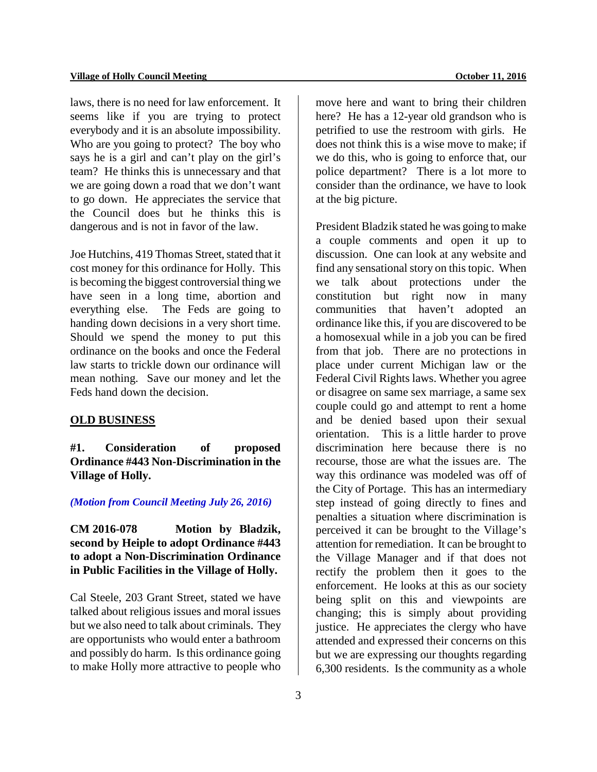laws, there is no need for law enforcement. It seems like if you are trying to protect everybody and it is an absolute impossibility. Who are you going to protect? The boy who says he is a girl and can't play on the girl's team? He thinks this is unnecessary and that we are going down a road that we don't want to go down. He appreciates the service that the Council does but he thinks this is dangerous and is not in favor of the law.

Joe Hutchins, 419 Thomas Street, stated that it cost money for this ordinance for Holly. This is becoming the biggest controversial thing we have seen in a long time, abortion and everything else. The Feds are going to handing down decisions in a very short time. Should we spend the money to put this ordinance on the books and once the Federal law starts to trickle down our ordinance will mean nothing. Save our money and let the Feds hand down the decision.

#### **OLD BUSINESS**

**#1. Consideration of proposed Ordinance #443 Non-Discrimination in the Village of Holly.**

#### *(Motion from Council Meeting July 26, 2016)*

**CM 2016-078 Motion by Bladzik, second by Heiple to adopt Ordinance #443 to adopt a Non-Discrimination Ordinance in Public Facilities in the Village of Holly.** 

Cal Steele, 203 Grant Street, stated we have talked about religious issues and moral issues but we also need to talk about criminals. They are opportunists who would enter a bathroom and possibly do harm. Is this ordinance going to make Holly more attractive to people who

3

move here and want to bring their children here? He has a 12-year old grandson who is petrified to use the restroom with girls. He does not think this is a wise move to make; if we do this, who is going to enforce that, our police department? There is a lot more to consider than the ordinance, we have to look at the big picture.

President Bladzik stated he was going to make a couple comments and open it up to discussion. One can look at any website and find any sensational story on this topic. When we talk about protections under the constitution but right now in many communities that haven't adopted an ordinance like this, if you are discovered to be a homosexual while in a job you can be fired from that job. There are no protections in place under current Michigan law or the Federal Civil Rights laws. Whether you agree or disagree on same sex marriage, a same sex couple could go and attempt to rent a home and be denied based upon their sexual orientation. This is a little harder to prove discrimination here because there is no recourse, those are what the issues are. The way this ordinance was modeled was off of the City of Portage. This has an intermediary step instead of going directly to fines and penalties a situation where discrimination is perceived it can be brought to the Village's attention for remediation. It can be brought to the Village Manager and if that does not rectify the problem then it goes to the enforcement. He looks at this as our society being split on this and viewpoints are changing; this is simply about providing justice. He appreciates the clergy who have attended and expressed their concerns on this but we are expressing our thoughts regarding 6,300 residents. Is the community as a whole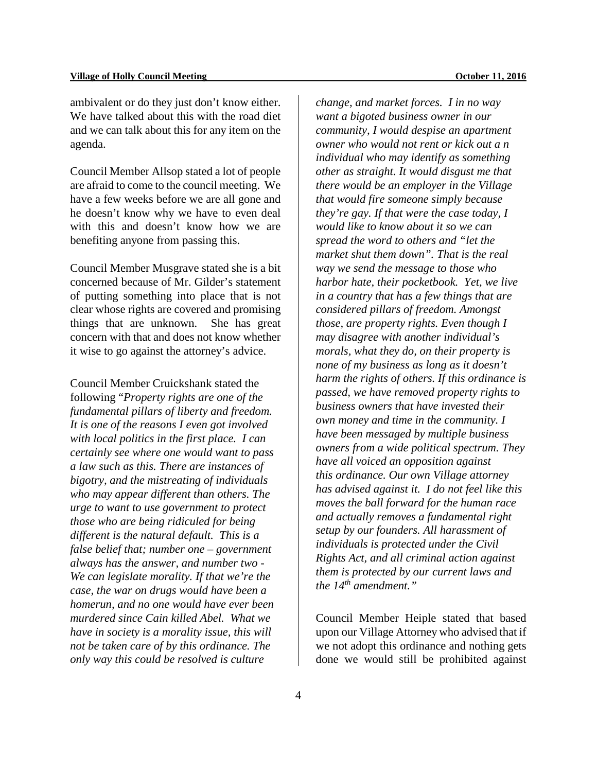ambivalent or do they just don't know either. We have talked about this with the road diet and we can talk about this for any item on the agenda.

Council Member Allsop stated a lot of people are afraid to come to the council meeting. We have a few weeks before we are all gone and he doesn't know why we have to even deal with this and doesn't know how we are benefiting anyone from passing this.

Council Member Musgrave stated she is a bit concerned because of Mr. Gilder's statement of putting something into place that is not clear whose rights are covered and promising things that are unknown. She has great concern with that and does not know whether it wise to go against the attorney's advice.

Council Member Cruickshank stated the following "*Property rights are one of the fundamental pillars of liberty and freedom. It is one of the reasons I even got involved with local politics in the first place. I can certainly see where one would want to pass a law such as this. There are instances of bigotry, and the mistreating of individuals who may appear different than others. The urge to want to use government to protect those who are being ridiculed for being different is the natural default. This is a false belief that; number one – government always has the answer, and number two - We can legislate morality. If that we're the case, the war on drugs would have been a homerun, and no one would have ever been murdered since Cain killed Abel. What we have in society is a morality issue, this will not be taken care of by this ordinance. The only way this could be resolved is culture* 

*change, and market forces. I in no way want a bigoted business owner in our community, I would despise an apartment owner who would not rent or kick out a n individual who may identify as something other as straight. It would disgust me that there would be an employer in the Village that would fire someone simply because they're gay. If that were the case today, I would like to know about it so we can spread the word to others and "let the market shut them down". That is the real way we send the message to those who harbor hate, their pocketbook. Yet, we live in a country that has a few things that are considered pillars of freedom. Amongst those, are property rights. Even though I may disagree with another individual's morals, what they do, on their property is none of my business as long as it doesn't harm the rights of others. If this ordinance is passed, we have removed property rights to business owners that have invested their own money and time in the community. I have been messaged by multiple business owners from a wide political spectrum. They have all voiced an opposition against this ordinance. Our own Village attorney has advised against it. I do not feel like this moves the ball forward for the human race and actually removes a fundamental right setup by our founders. All harassment of individuals is protected under the Civil Rights Act, and all criminal action against them is protected by our current laws and the 14th amendment."*

Council Member Heiple stated that based upon our Village Attorney who advised that if we not adopt this ordinance and nothing gets done we would still be prohibited against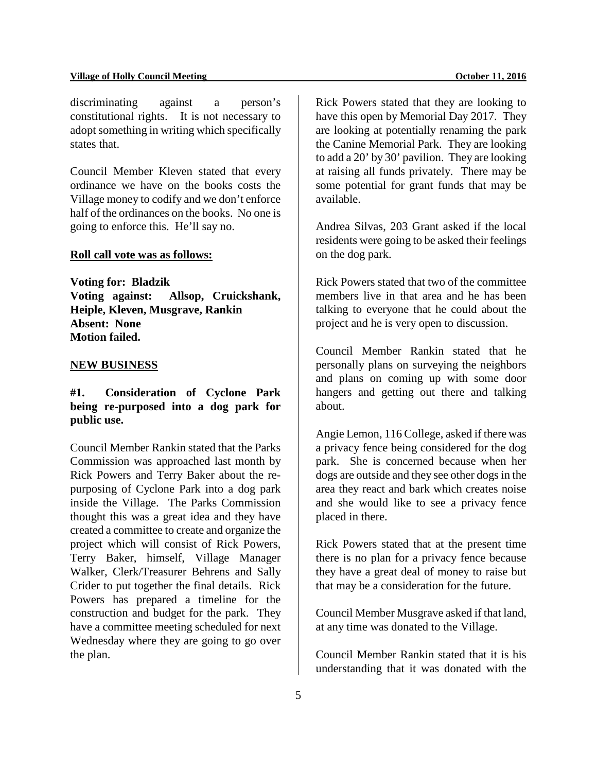discriminating against a person's constitutional rights. It is not necessary to adopt something in writing which specifically states that.

Council Member Kleven stated that every ordinance we have on the books costs the Village money to codify and we don't enforce half of the ordinances on the books. No one is going to enforce this. He'll say no.

#### **Roll call vote was as follows:**

**Voting for: Bladzik Voting against: Allsop, Cruickshank, Heiple, Kleven, Musgrave, Rankin Absent: None Motion failed.**

#### **NEW BUSINESS**

# **#1. Consideration of Cyclone Park being re-purposed into a dog park for public use.**

Council Member Rankin stated that the Parks Commission was approached last month by Rick Powers and Terry Baker about the repurposing of Cyclone Park into a dog park inside the Village. The Parks Commission thought this was a great idea and they have created a committee to create and organize the project which will consist of Rick Powers, Terry Baker, himself, Village Manager Walker, Clerk/Treasurer Behrens and Sally Crider to put together the final details. Rick Powers has prepared a timeline for the construction and budget for the park. They have a committee meeting scheduled for next Wednesday where they are going to go over the plan.

Rick Powers stated that they are looking to have this open by Memorial Day 2017. They are looking at potentially renaming the park the Canine Memorial Park. They are looking to add a 20' by 30' pavilion. They are looking at raising all funds privately. There may be some potential for grant funds that may be available.

Andrea Silvas, 203 Grant asked if the local residents were going to be asked their feelings on the dog park.

Rick Powers stated that two of the committee members live in that area and he has been talking to everyone that he could about the project and he is very open to discussion.

Council Member Rankin stated that he personally plans on surveying the neighbors and plans on coming up with some door hangers and getting out there and talking about.

Angie Lemon, 116 College, asked if there was a privacy fence being considered for the dog park. She is concerned because when her dogs are outside and they see other dogs in the area they react and bark which creates noise and she would like to see a privacy fence placed in there.

Rick Powers stated that at the present time there is no plan for a privacy fence because they have a great deal of money to raise but that may be a consideration for the future.

Council Member Musgrave asked if that land, at any time was donated to the Village.

Council Member Rankin stated that it is his understanding that it was donated with the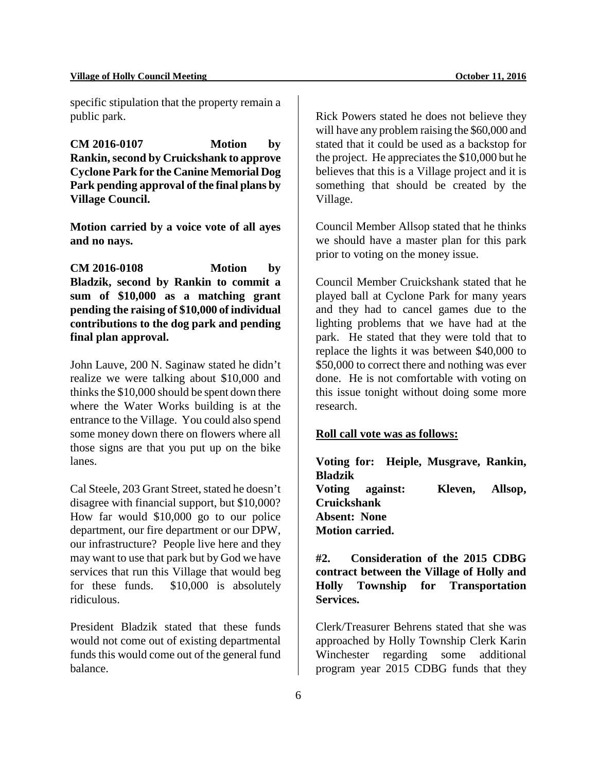specific stipulation that the property remain a public park.

**CM 2016-0107 Motion by Rankin, second by Cruickshank to approve Cyclone Park for the Canine Memorial Dog Park pending approval of the final plans by Village Council.** 

**Motion carried by a voice vote of all ayes and no nays.**

**CM 2016-0108 Motion by Bladzik, second by Rankin to commit a sum of \$10,000 as a matching grant pending the raising of \$10,000 of individual contributions to the dog park and pending final plan approval.**

John Lauve, 200 N. Saginaw stated he didn't realize we were talking about \$10,000 and thinks the \$10,000 should be spent down there where the Water Works building is at the entrance to the Village. You could also spend some money down there on flowers where all those signs are that you put up on the bike lanes.

Cal Steele, 203 Grant Street, stated he doesn't disagree with financial support, but \$10,000? How far would \$10,000 go to our police department, our fire department or our DPW, our infrastructure? People live here and they may want to use that park but by God we have services that run this Village that would beg for these funds. \$10,000 is absolutely ridiculous.

President Bladzik stated that these funds would not come out of existing departmental funds this would come out of the general fund balance.

Rick Powers stated he does not believe they will have any problem raising the \$60,000 and stated that it could be used as a backstop for the project. He appreciates the \$10,000 but he believes that this is a Village project and it is something that should be created by the Village.

Council Member Allsop stated that he thinks we should have a master plan for this park prior to voting on the money issue.

Council Member Cruickshank stated that he played ball at Cyclone Park for many years and they had to cancel games due to the lighting problems that we have had at the park. He stated that they were told that to replace the lights it was between \$40,000 to \$50,000 to correct there and nothing was ever done. He is not comfortable with voting on this issue tonight without doing some more research.

# **Roll call vote was as follows:**

**Voting for: Heiple, Musgrave, Rankin, Bladzik Voting against: Kleven, Allsop, Cruickshank Absent: None Motion carried.** 

**#2. Consideration of the 2015 CDBG contract between the Village of Holly and Holly Township for Transportation Services.** 

Clerk/Treasurer Behrens stated that she was approached by Holly Township Clerk Karin Winchester regarding some additional program year 2015 CDBG funds that they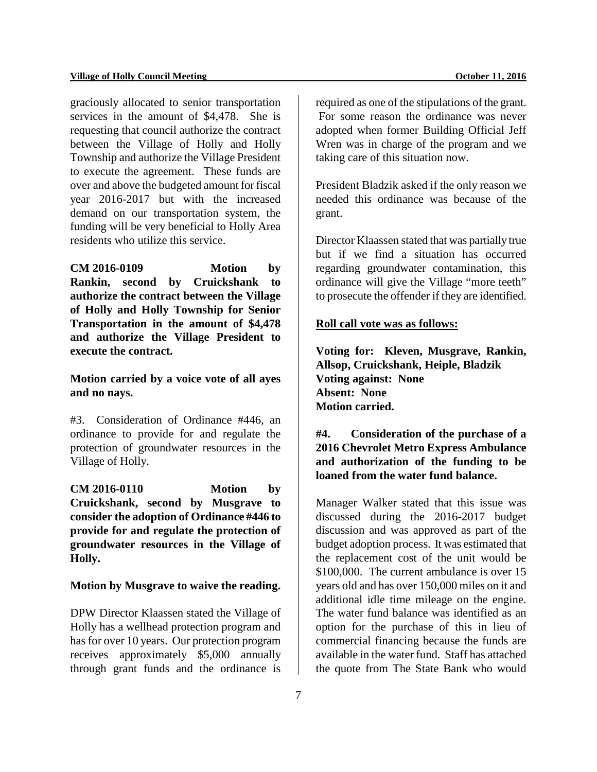graciously allocated to senior transportation services in the amount of \$4,478. She is requesting that council authorize the contract between the Village of Holly and Holly Township and authorize the Village President to execute the agreement. These funds are over and above the budgeted amount for fiscal year 2016-2017 but with the increased demand on our transportation system, the funding will be very beneficial to Holly Area residents who utilize this service.

**CM 2016-0109 Motion by Rankin, second by Cruickshank to authorize the contract between the Village of Holly and Holly Township for Senior Transportation in the amount of \$4,478 and authorize the Village President to execute the contract.** 

**Motion carried by a voice vote of all ayes and no nays.**

#3. Consideration of Ordinance #446, an ordinance to provide for and regulate the protection of groundwater resources in the Village of Holly.

**CM 2016-0110 Motion by Cruickshank, second by Musgrave to consider the adoption of Ordinance #446 to provide for and regulate the protection of groundwater resources in the Village of Holly.** 

#### **Motion by Musgrave to waive the reading.**

DPW Director Klaassen stated the Village of Holly has a wellhead protection program and has for over 10 years. Our protection program receives approximately \$5,000 annually through grant funds and the ordinance is

required as one of the stipulations of the grant. For some reason the ordinance was never adopted when former Building Official Jeff Wren was in charge of the program and we taking care of this situation now.

President Bladzik asked if the only reason we needed this ordinance was because of the grant.

Director Klaassen stated that was partially true but if we find a situation has occurred regarding groundwater contamination, this ordinance will give the Village "more teeth" to prosecute the offender if they are identified.

#### **Roll call vote was as follows:**

**Voting for: Kleven, Musgrave, Rankin, Allsop, Cruickshank, Heiple, Bladzik Voting against: None Absent: None Motion carried.**

**#4. Consideration of the purchase of a 2016 Chevrolet Metro Express Ambulance and authorization of the funding to be loaned from the water fund balance.**

Manager Walker stated that this issue was discussed during the 2016-2017 budget discussion and was approved as part of the budget adoption process. It was estimated that the replacement cost of the unit would be \$100,000. The current ambulance is over 15 years old and has over 150,000 miles on it and additional idle time mileage on the engine. The water fund balance was identified as an option for the purchase of this in lieu of commercial financing because the funds are available in the water fund. Staff has attached the quote from The State Bank who would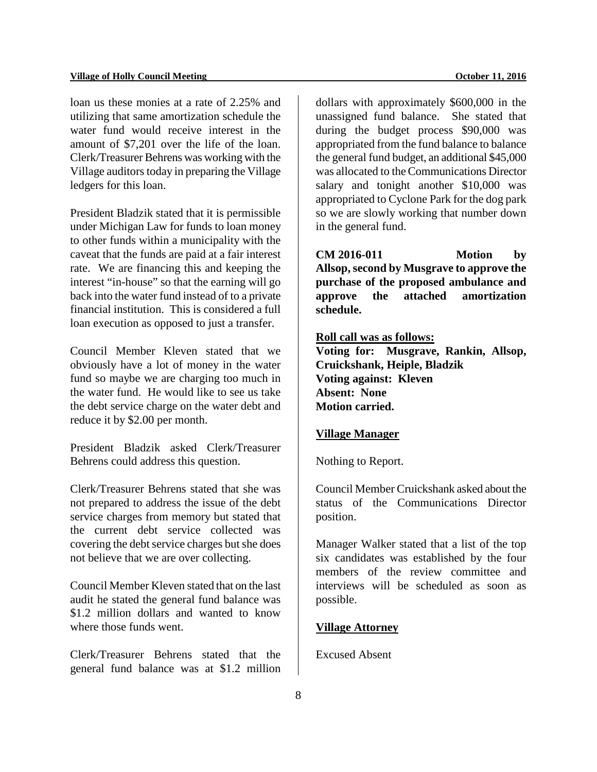loan us these monies at a rate of 2.25% and utilizing that same amortization schedule the water fund would receive interest in the amount of \$7,201 over the life of the loan. Clerk/Treasurer Behrens was working with the Village auditors today in preparing the Village ledgers for this loan.

President Bladzik stated that it is permissible under Michigan Law for funds to loan money to other funds within a municipality with the caveat that the funds are paid at a fair interest rate. We are financing this and keeping the interest "in-house" so that the earning will go back into the water fund instead of to a private financial institution. This is considered a full loan execution as opposed to just a transfer.

Council Member Kleven stated that we obviously have a lot of money in the water fund so maybe we are charging too much in the water fund. He would like to see us take the debt service charge on the water debt and reduce it by \$2.00 per month.

President Bladzik asked Clerk/Treasurer Behrens could address this question.

Clerk/Treasurer Behrens stated that she was not prepared to address the issue of the debt service charges from memory but stated that the current debt service collected was covering the debt service charges but she does not believe that we are over collecting.

Council Member Kleven stated that on the last audit he stated the general fund balance was \$1.2 million dollars and wanted to know where those funds went.

Clerk/Treasurer Behrens stated that the general fund balance was at \$1.2 million dollars with approximately \$600,000 in the unassigned fund balance. She stated that during the budget process \$90,000 was appropriated from the fund balance to balance the general fund budget, an additional \$45,000 was allocated to the Communications Director salary and tonight another \$10,000 was appropriated to Cyclone Park for the dog park so we are slowly working that number down in the general fund.

**CM 2016-011 Motion by Allsop, second by Musgrave to approve the purchase of the proposed ambulance and approve the attached amortization schedule.**

# **Roll call was as follows:**

**Voting for: Musgrave, Rankin, Allsop, Cruickshank, Heiple, Bladzik Voting against: Kleven Absent: None Motion carried.** 

#### **Village Manager**

Nothing to Report.

Council Member Cruickshank asked about the status of the Communications Director position.

Manager Walker stated that a list of the top six candidates was established by the four members of the review committee and interviews will be scheduled as soon as possible.

#### **Village Attorney**

Excused Absent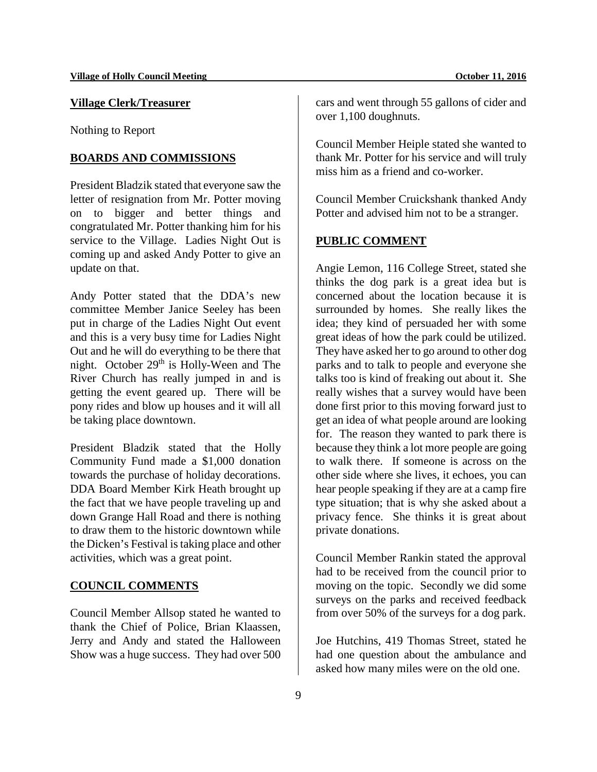# **Village Clerk/Treasurer**

Nothing to Report

#### **BOARDS AND COMMISSIONS**

President Bladzik stated that everyone saw the letter of resignation from Mr. Potter moving on to bigger and better things and congratulated Mr. Potter thanking him for his service to the Village. Ladies Night Out is coming up and asked Andy Potter to give an update on that.

Andy Potter stated that the DDA's new committee Member Janice Seeley has been put in charge of the Ladies Night Out event and this is a very busy time for Ladies Night Out and he will do everything to be there that night. October 29<sup>th</sup> is Holly-Ween and The River Church has really jumped in and is getting the event geared up. There will be pony rides and blow up houses and it will all be taking place downtown.

President Bladzik stated that the Holly Community Fund made a \$1,000 donation towards the purchase of holiday decorations. DDA Board Member Kirk Heath brought up the fact that we have people traveling up and down Grange Hall Road and there is nothing to draw them to the historic downtown while the Dicken's Festival is taking place and other activities, which was a great point.

# **COUNCIL COMMENTS**

Council Member Allsop stated he wanted to thank the Chief of Police, Brian Klaassen, Jerry and Andy and stated the Halloween Show was a huge success. They had over 500

cars and went through 55 gallons of cider and over 1,100 doughnuts.

Council Member Heiple stated she wanted to thank Mr. Potter for his service and will truly miss him as a friend and co-worker.

Council Member Cruickshank thanked Andy Potter and advised him not to be a stranger.

# **PUBLIC COMMENT**

Angie Lemon, 116 College Street, stated she thinks the dog park is a great idea but is concerned about the location because it is surrounded by homes. She really likes the idea; they kind of persuaded her with some great ideas of how the park could be utilized. They have asked her to go around to other dog parks and to talk to people and everyone she talks too is kind of freaking out about it. She really wishes that a survey would have been done first prior to this moving forward just to get an idea of what people around are looking for. The reason they wanted to park there is because they think a lot more people are going to walk there. If someone is across on the other side where she lives, it echoes, you can hear people speaking if they are at a camp fire type situation; that is why she asked about a privacy fence. She thinks it is great about private donations.

Council Member Rankin stated the approval had to be received from the council prior to moving on the topic. Secondly we did some surveys on the parks and received feedback from over 50% of the surveys for a dog park.

Joe Hutchins, 419 Thomas Street, stated he had one question about the ambulance and asked how many miles were on the old one.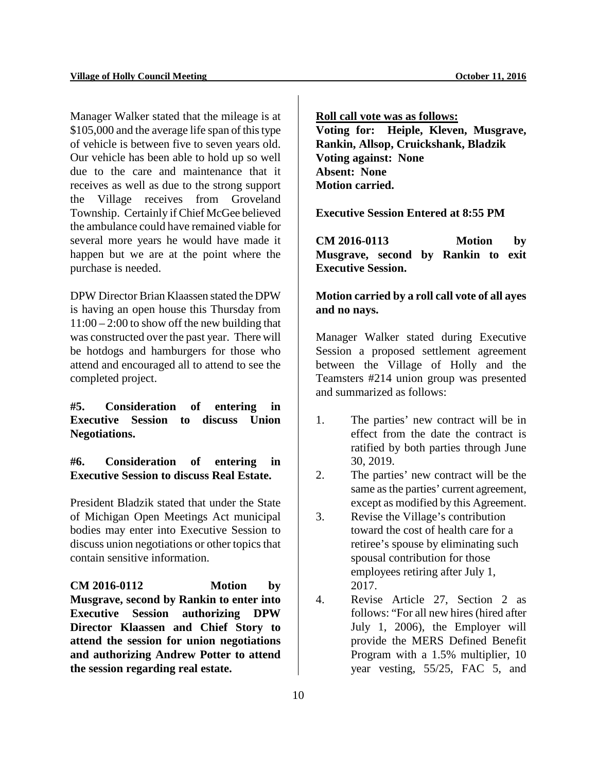Manager Walker stated that the mileage is at \$105,000 and the average life span of this type of vehicle is between five to seven years old. Our vehicle has been able to hold up so well due to the care and maintenance that it receives as well as due to the strong support the Village receives from Groveland Township. Certainly if Chief McGee believed the ambulance could have remained viable for several more years he would have made it happen but we are at the point where the purchase is needed.

DPW Director Brian Klaassen stated the DPW is having an open house this Thursday from  $11:00 - 2:00$  to show off the new building that was constructed over the past year. There will be hotdogs and hamburgers for those who attend and encouraged all to attend to see the completed project.

**#5. Consideration of entering in Executive Session to discuss Union Negotiations.**

**#6. Consideration of entering in Executive Session to discuss Real Estate.** 

President Bladzik stated that under the State of Michigan Open Meetings Act municipal bodies may enter into Executive Session to discuss union negotiations or other topics that contain sensitive information.

**CM 2016-0112 Motion by Musgrave, second by Rankin to enter into Executive Session authorizing DPW Director Klaassen and Chief Story to attend the session for union negotiations and authorizing Andrew Potter to attend the session regarding real estate.**

**Roll call vote was as follows: Voting for: Heiple, Kleven, Musgrave, Rankin, Allsop, Cruickshank, Bladzik Voting against: None Absent: None Motion carried.**

**Executive Session Entered at 8:55 PM**

**CM 2016-0113 Motion by Musgrave, second by Rankin to exit Executive Session.**

**Motion carried by a roll call vote of all ayes and no nays.**

Manager Walker stated during Executive Session a proposed settlement agreement between the Village of Holly and the Teamsters #214 union group was presented and summarized as follows:

- 1. The parties' new contract will be in effect from the date the contract is ratified by both parties through June 30, 2019.
- 2. The parties' new contract will be the same as the parties' current agreement, except as modified by this Agreement.
- 3. Revise the Village's contribution toward the cost of health care for a retiree's spouse by eliminating such spousal contribution for those employees retiring after July 1, 2017.
- 4. Revise Article 27, Section 2 as follows: "For all new hires (hired after July 1, 2006), the Employer will provide the MERS Defined Benefit Program with a 1.5% multiplier, 10 year vesting, 55/25, FAC 5, and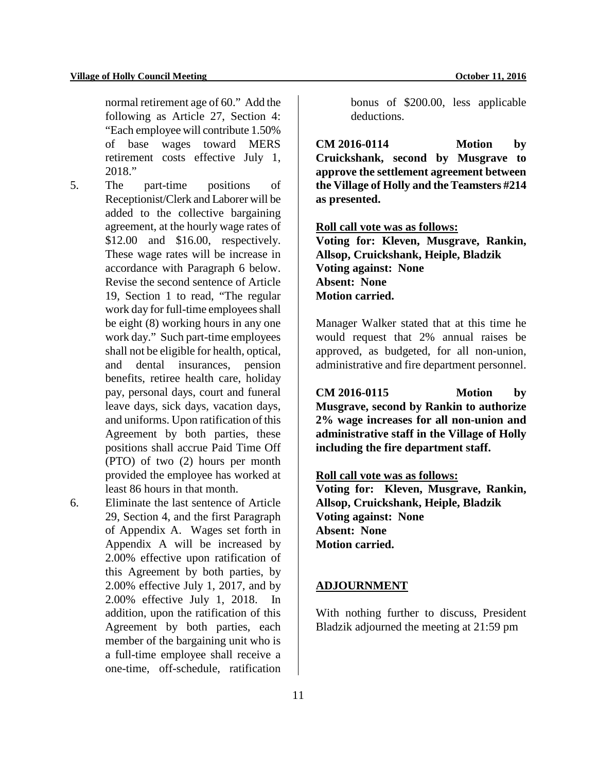normal retirement age of 60." Add the following as Article 27, Section 4: "Each employee will contribute 1.50% of base wages toward MERS retirement costs effective July 1, 2018."

- 5. The part-time positions of Receptionist/Clerk and Laborer will be added to the collective bargaining agreement, at the hourly wage rates of \$12.00 and \$16.00, respectively. These wage rates will be increase in accordance with Paragraph 6 below. Revise the second sentence of Article 19, Section 1 to read, "The regular work day for full-time employees shall be eight (8) working hours in any one work day." Such part-time employees shall not be eligible for health, optical, and dental insurances, pension benefits, retiree health care, holiday pay, personal days, court and funeral leave days, sick days, vacation days, and uniforms. Upon ratification of this Agreement by both parties, these positions shall accrue Paid Time Off (PTO) of two (2) hours per month provided the employee has worked at least 86 hours in that month.
- 6. Eliminate the last sentence of Article 29, Section 4, and the first Paragraph of Appendix A. Wages set forth in Appendix A will be increased by 2.00% effective upon ratification of this Agreement by both parties, by 2.00% effective July 1, 2017, and by 2.00% effective July 1, 2018. In addition, upon the ratification of this Agreement by both parties, each member of the bargaining unit who is a full-time employee shall receive a one-time, off-schedule, ratification

bonus of \$200.00, less applicable deductions.

**CM 2016-0114 Motion by Cruickshank, second by Musgrave to approve the settlement agreement between the Village of Holly and the Teamsters #214 as presented.**

**Roll call vote was as follows:**

**Voting for: Kleven, Musgrave, Rankin, Allsop, Cruickshank, Heiple, Bladzik Voting against: None Absent: None Motion carried.**

Manager Walker stated that at this time he would request that 2% annual raises be approved, as budgeted, for all non-union, administrative and fire department personnel.

**CM 2016-0115 Motion by Musgrave, second by Rankin to authorize 2% wage increases for all non-union and administrative staff in the Village of Holly including the fire department staff.** 

**Roll call vote was as follows:**

**Voting for: Kleven, Musgrave, Rankin, Allsop, Cruickshank, Heiple, Bladzik Voting against: None Absent: None Motion carried.** 

# **ADJOURNMENT**

With nothing further to discuss, President Bladzik adjourned the meeting at 21:59 pm